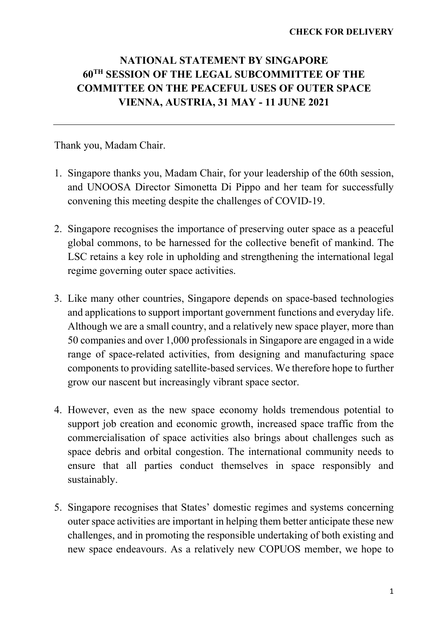## NATIONAL STATEMENT BY SINGAPORE 60TH SESSION OF THE LEGAL SUBCOMMITTEE OF THE COMMITTEE ON THE PEACEFUL USES OF OUTER SPACE VIENNA, AUSTRIA, 31 MAY - 11 JUNE 2021

Thank you, Madam Chair.

- 1. Singapore thanks you, Madam Chair, for your leadership of the 60th session, and UNOOSA Director Simonetta Di Pippo and her team for successfully convening this meeting despite the challenges of COVID-19.
- 2. Singapore recognises the importance of preserving outer space as a peaceful global commons, to be harnessed for the collective benefit of mankind. The LSC retains a key role in upholding and strengthening the international legal regime governing outer space activities.
- 3. Like many other countries, Singapore depends on space-based technologies and applications to support important government functions and everyday life. Although we are a small country, and a relatively new space player, more than 50 companies and over 1,000 professionals in Singapore are engaged in a wide range of space-related activities, from designing and manufacturing space components to providing satellite-based services. We therefore hope to further grow our nascent but increasingly vibrant space sector.
- 4. However, even as the new space economy holds tremendous potential to support job creation and economic growth, increased space traffic from the commercialisation of space activities also brings about challenges such as space debris and orbital congestion. The international community needs to ensure that all parties conduct themselves in space responsibly and sustainably.
- 5. Singapore recognises that States' domestic regimes and systems concerning outer space activities are important in helping them better anticipate these new challenges, and in promoting the responsible undertaking of both existing and new space endeavours. As a relatively new COPUOS member, we hope to